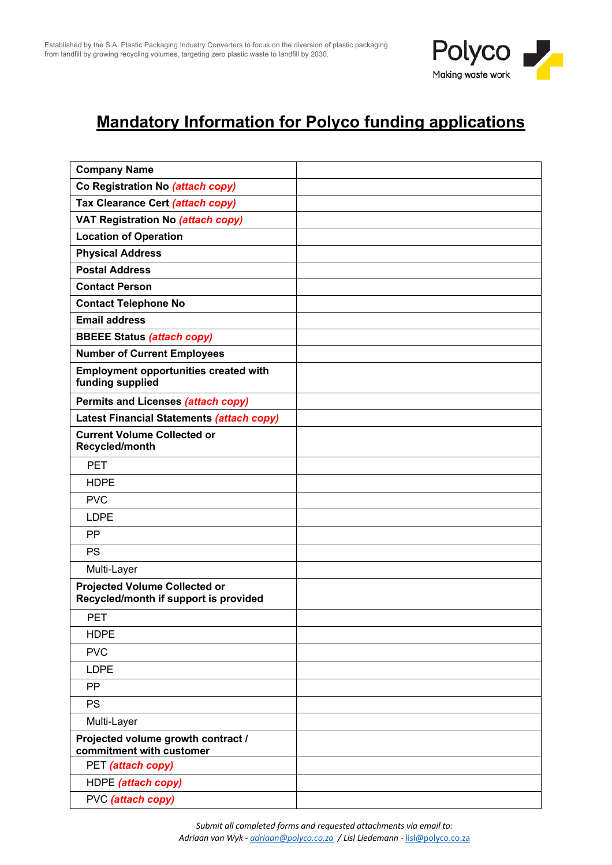

## **Mandatory Information for Polyco funding applications**

| <b>Company Name</b>                                                           |  |
|-------------------------------------------------------------------------------|--|
| Co Registration No (attach copy)                                              |  |
| Tax Clearance Cert (attach copy)                                              |  |
| VAT Registration No (attach copy)                                             |  |
| <b>Location of Operation</b>                                                  |  |
| <b>Physical Address</b>                                                       |  |
| <b>Postal Address</b>                                                         |  |
| <b>Contact Person</b>                                                         |  |
| <b>Contact Telephone No</b>                                                   |  |
| <b>Email address</b>                                                          |  |
| <b>BBEEE Status (attach copy)</b>                                             |  |
| <b>Number of Current Employees</b>                                            |  |
| <b>Employment opportunities created with</b><br>funding supplied              |  |
| Permits and Licenses (attach copy)                                            |  |
| Latest Financial Statements (attach copy)                                     |  |
| <b>Current Volume Collected or</b><br>Recycled/month                          |  |
| <b>PET</b>                                                                    |  |
| <b>HDPE</b>                                                                   |  |
| <b>PVC</b>                                                                    |  |
| <b>LDPE</b>                                                                   |  |
| <b>PP</b>                                                                     |  |
| <b>PS</b>                                                                     |  |
| Multi-Layer                                                                   |  |
| <b>Projected Volume Collected or</b><br>Recycled/month if support is provided |  |
| <b>PET</b>                                                                    |  |
| <b>HDPE</b>                                                                   |  |
| <b>PVC</b>                                                                    |  |
| <b>LDPE</b>                                                                   |  |
| PP                                                                            |  |
| <b>PS</b>                                                                     |  |
| Multi-Layer                                                                   |  |
| Projected volume growth contract /<br>commitment with customer                |  |
| PET (attach copy)                                                             |  |
| HDPE (attach copy)                                                            |  |
| PVC (attach copy)                                                             |  |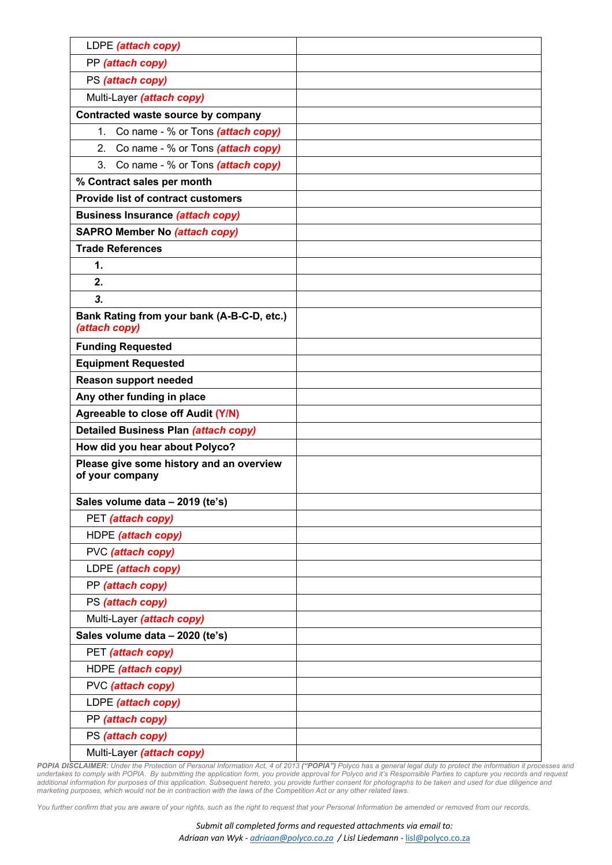| LDPE (attach copy)                                          |  |
|-------------------------------------------------------------|--|
| PP (attach copy)                                            |  |
| PS (attach copy)                                            |  |
| Multi-Layer (attach copy)                                   |  |
| Contracted waste source by company                          |  |
| 1. Co name - % or Tons (attach copy)                        |  |
| 2. Co name - % or Tons (attach copy)                        |  |
| 3. Co name - % or Tons (attach copy)                        |  |
| % Contract sales per month                                  |  |
| <b>Provide list of contract customers</b>                   |  |
| <b>Business Insurance (attach copy)</b>                     |  |
| <b>SAPRO Member No (attach copy)</b>                        |  |
| <b>Trade References</b>                                     |  |
| 1.                                                          |  |
| 2.                                                          |  |
| 3.                                                          |  |
| Bank Rating from your bank (A-B-C-D, etc.)<br>(attach copy) |  |
| <b>Funding Requested</b>                                    |  |
| <b>Equipment Requested</b>                                  |  |
| <b>Reason support needed</b>                                |  |
| Any other funding in place                                  |  |
| Agreeable to close off Audit (Y/N)                          |  |
| <b>Detailed Business Plan (attach copy)</b>                 |  |
| How did you hear about Polyco?                              |  |
| Please give some history and an overview<br>of your company |  |
| Sales volume data - 2019 (te's)                             |  |
| PET (attach copy)                                           |  |
| HDPE (attach copy)                                          |  |
| PVC (attach copy)                                           |  |
| LDPE (attach copy)                                          |  |
| PP (attach copy)                                            |  |
| PS (attach copy)                                            |  |
| Multi-Layer (attach copy)                                   |  |
| Sales volume data - 2020 (te's)                             |  |
| PET (attach copy)                                           |  |
| HDPE (attach copy)                                          |  |
| PVC (attach copy)                                           |  |
| LDPE (attach copy)                                          |  |
| PP (attach copy)                                            |  |
| PS (attach copy)                                            |  |
| Multi-Layer (attach copy)                                   |  |

**POPIA DISCLAIMER:** Under the Protection of Personal Information Act, 4 of 2013 ("**POPIA")** Polyco has a general legal duty to protect the information it processes and<br>undertakes to comply with POPIA. By submitting the app additional information for purposes of this application. Subsequent hereto, you provide further consent for photographs to be taken and used for due diligence and *marketing purposes, which would not be in contraction with the laws of the Competition Act or any other related laws.* 

*You further confirm that you are aware of your rights, such as the right to request that your Personal Information be amended or removed from our records.*